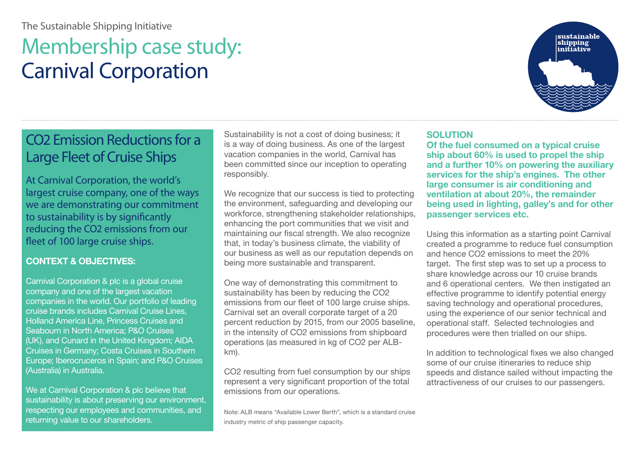# The Sustainable Shipping Initiative

# Membership case study: Carnival Corporation



At Carnival Corporation, the world's largest cruise company, one of the ways we are demonstrating our commitment to sustainability is by significantly reducing the CO2 emissions from our fleet of 100 large cruise ships.

#### **CONTEXT & OBJECTIVES:**

Carnival Corporation & plc is a global cruise company and one of the largest vacation companies in the world. Our portfolio of leading cruise brands includes Carnival Cruise Lines, Holland America Line, Princess Cruises and Seabourn in North America; P&O Cruises (UK), and Cunard in the United Kingdom; AIDA Cruises in Germany; Costa Cruises in Southern Europe; Iberocruceros in Spain; and P&O Cruises (Australia) in Australia.

We at Carnival Corporation & plc believe that sustainability is about preserving our environment, respecting our employees and communities, and returning value to our shareholders.

Sustainability is not a cost of doing business; it is a way of doing business. As one of the largest vacation companies in the world, Carnival has been committed since our inception to operating responsibly.

We recognize that our success is tied to protecting the environment, safeguarding and developing our workforce, strengthening stakeholder relationships, enhancing the port communities that we visit and maintaining our fiscal strength. We also recognize that, in today's business climate, the viability of our business as well as our reputation depends on being more sustainable and transparent.

One way of demonstrating this commitment to sustainability has been by reducing the CO2 emissions from our fleet of 100 large cruise ships. Carnival set an overall corporate target of a 20 percent reduction by 2015, from our 2005 baseline, in the intensity of CO2 emissions from shipboard operations (as measured in kg of CO2 per ALBkm).

CO2 resulting from fuel consumption by our ships represent a very significant proportion of the total emissions from our operations.

Note: ALB means "Available Lower Berth", which is a standard cruise industry metric of ship passenger capacity.

#### **SOLUTION**

**Of the fuel consumed on a typical cruise ship about 60% is used to propel the ship and a further 10% on powering the auxiliary services for the ship's engines. The other large consumer is air conditioning and ventilation at about 20%, the remainder being used in lighting, galley's and for other passenger services etc.**

Using this information as a starting point Carnival created a programme to reduce fuel consumption and hence CO2 emissions to meet the 20% target. The first step was to set up a process to share knowledge across our 10 cruise brands and 6 operational centers. We then instigated an effective programme to identify potential energy saving technology and operational procedures, using the experience of our senior technical and operational staff. Selected technologies and procedures were then trialled on our ships.

In addition to technological fixes we also changed some of our cruise itineraries to reduce ship speeds and distance sailed without impacting the attractiveness of our cruises to our passengers.

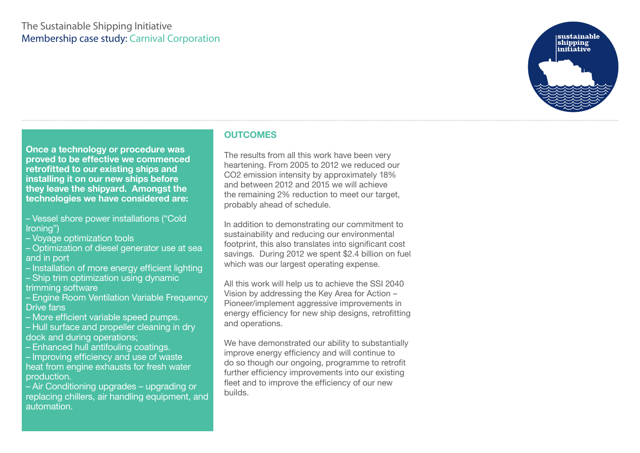## The Sustainable Shipping Initiative Membership case study: Carnival Corporation



**Once a technology or procedure was proved to be effective we commenced retrofitted to our existing ships and installing it on our new ships before they leave the shipyard. Amongst the technologies we have considered are:**

- Vessel shore power installations ("Cold Ironing")
- Voyage optimization tools
- Optimization of diesel generator use at sea and in port
- Installation of more energy efficient lighting
- Ship trim optimization using dynamic trimming software
- Engine Room Ventilation Variable Frequency Drive fans
- More efficient variable speed pumps.
- Hull surface and propeller cleaning in dry dock and during operations;
- Enhanced hull antifouling coatings.
- Improving efficiency and use of waste heat from engine exhausts for fresh water
- production.
- Air Conditioning upgrades upgrading or replacing chillers, air handling equipment, and automation.

#### **OUTCOMES**

The results from all this work have been very heartening. From 2005 to 2012 we reduced our CO2 emission intensity by approximately 18% and between 2012 and 2015 we will achieve the remaining 2% reduction to meet our target, probably ahead of schedule.

In addition to demonstrating our commitment to sustainability and reducing our environmental footprint, this also translates into significant cost savings. During 2012 we spent \$2.4 billion on fuel which was our largest operating expense.

All this work will help us to achieve the SSI 2040 Vision by addressing the Key Area for Action – Pioneer/implement aggressive improvements in energy efficiency for new ship designs, retrofitting and operations.

We have demonstrated our ability to substantially improve energy efficiency and will continue to do so though our ongoing, programme to retrofit further efficiency improvements into our existing fleet and to improve the efficiency of our new builds.